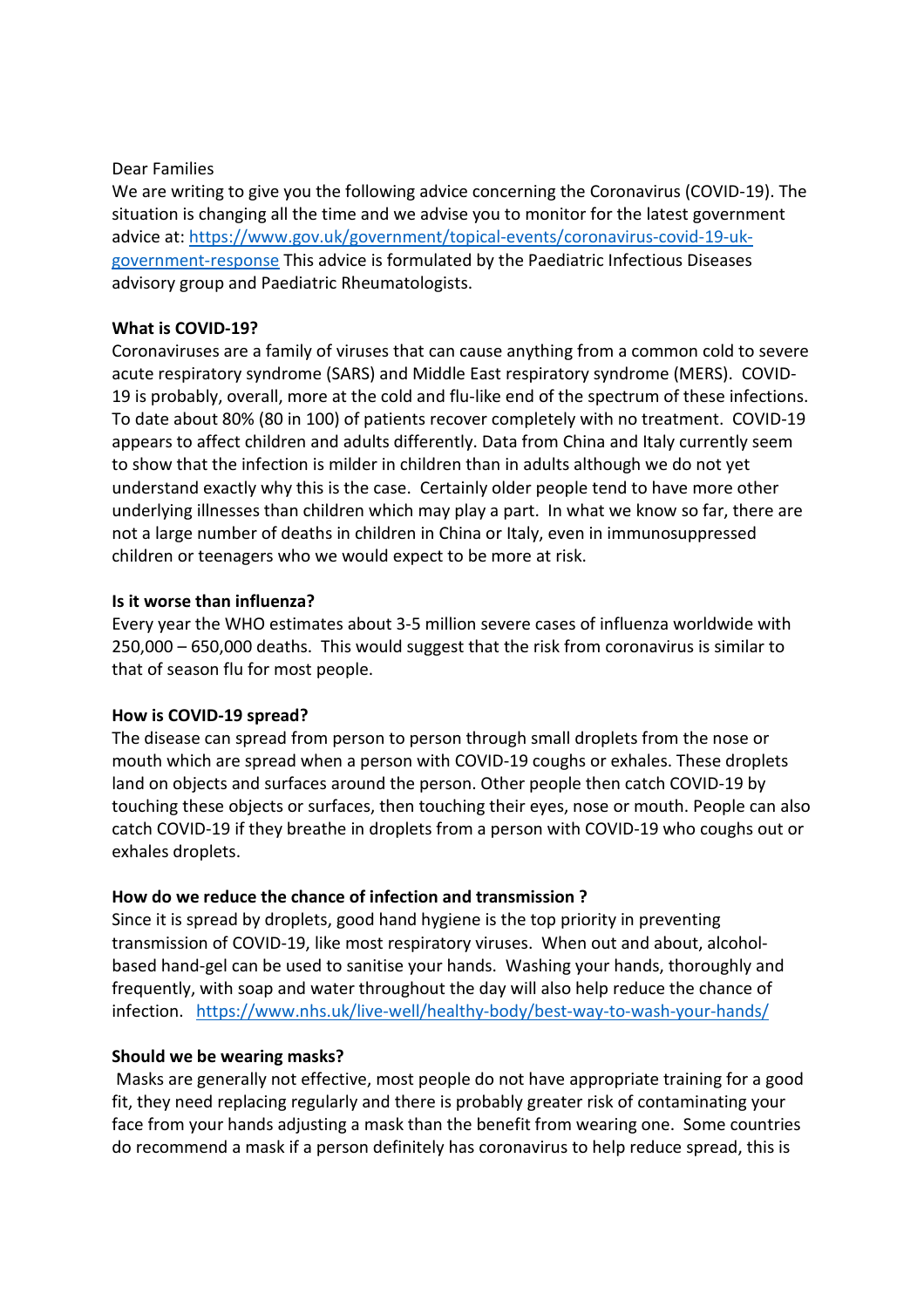#### Dear Families

We are writing to give you the following advice concerning the Coronavirus (COVID-19). The situation is changing all the time and we advise you to monitor for the latest government advice at: https://www.gov.uk/government/topical-events/coronavirus-covid-19-ukgovernment-response This advice is formulated by the Paediatric Infectious Diseases advisory group and Paediatric Rheumatologists.

# What is COVID-19?

Coronaviruses are a family of viruses that can cause anything from a common cold to severe acute respiratory syndrome (SARS) and Middle East respiratory syndrome (MERS). COVID-19 is probably, overall, more at the cold and flu-like end of the spectrum of these infections. To date about 80% (80 in 100) of patients recover completely with no treatment. COVID-19 appears to affect children and adults differently. Data from China and Italy currently seem to show that the infection is milder in children than in adults although we do not yet understand exactly why this is the case. Certainly older people tend to have more other underlying illnesses than children which may play a part. In what we know so far, there are not a large number of deaths in children in China or Italy, even in immunosuppressed children or teenagers who we would expect to be more at risk.

#### Is it worse than influenza?

Every year the WHO estimates about 3-5 million severe cases of influenza worldwide with 250,000 – 650,000 deaths. This would suggest that the risk from coronavirus is similar to that of season flu for most people.

#### How is COVID-19 spread?

The disease can spread from person to person through small droplets from the nose or mouth which are spread when a person with COVID-19 coughs or exhales. These droplets land on objects and surfaces around the person. Other people then catch COVID-19 by touching these objects or surfaces, then touching their eyes, nose or mouth. People can also catch COVID-19 if they breathe in droplets from a person with COVID-19 who coughs out or exhales droplets.

# How do we reduce the chance of infection and transmission ?

Since it is spread by droplets, good hand hygiene is the top priority in preventing transmission of COVID-19, like most respiratory viruses. When out and about, alcoholbased hand-gel can be used to sanitise your hands. Washing your hands, thoroughly and frequently, with soap and water throughout the day will also help reduce the chance of infection. https://www.nhs.uk/live-well/healthy-body/best-way-to-wash-your-hands/

# Should we be wearing masks?

 Masks are generally not effective, most people do not have appropriate training for a good fit, they need replacing regularly and there is probably greater risk of contaminating your face from your hands adjusting a mask than the benefit from wearing one. Some countries do recommend a mask if a person definitely has coronavirus to help reduce spread, this is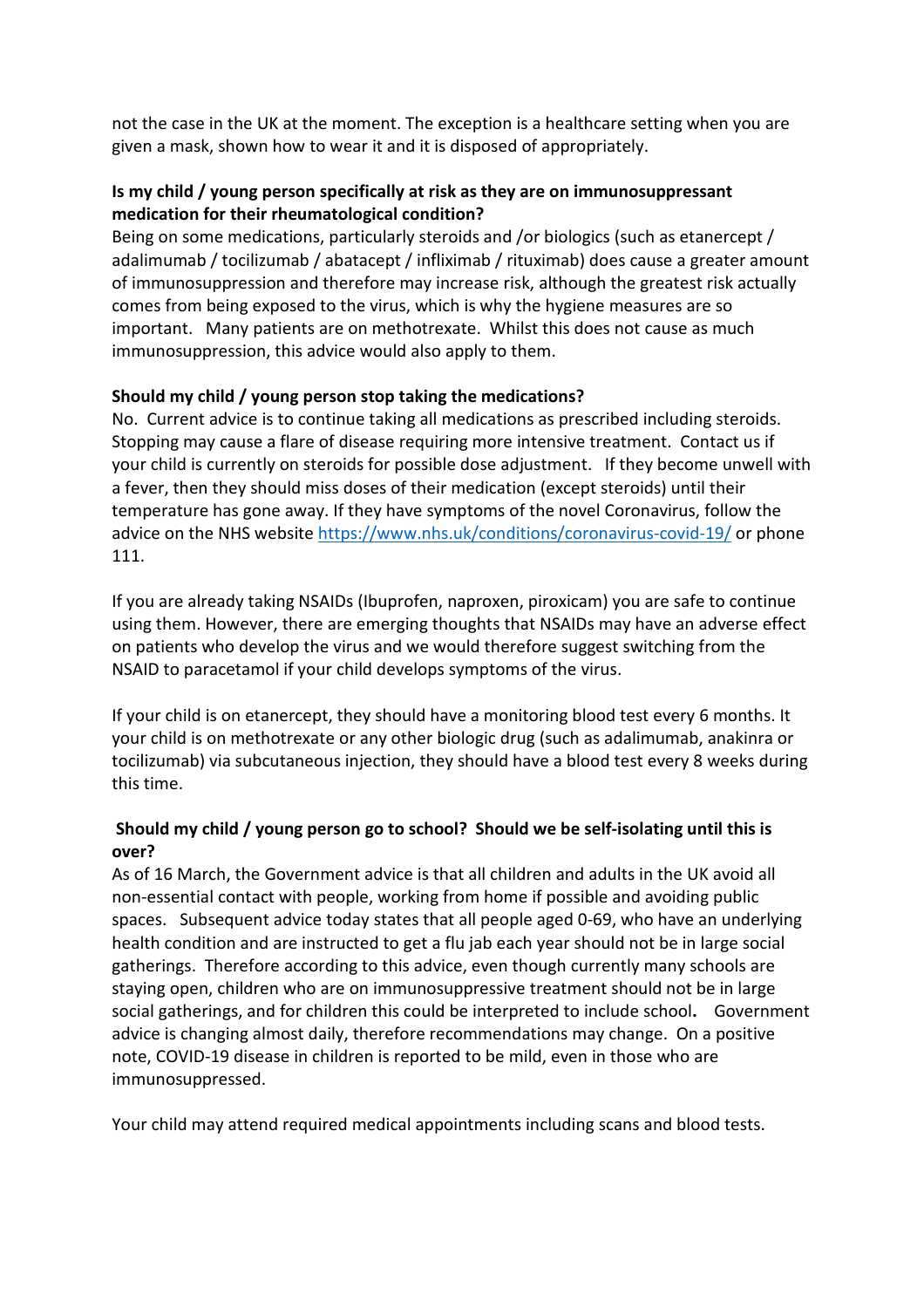not the case in the UK at the moment. The exception is a healthcare setting when you are given a mask, shown how to wear it and it is disposed of appropriately.

# Is my child / young person specifically at risk as they are on immunosuppressant medication for their rheumatological condition?

Being on some medications, particularly steroids and /or biologics (such as etanercept / adalimumab / tocilizumab / abatacept / infliximab / rituximab) does cause a greater amount of immunosuppression and therefore may increase risk, although the greatest risk actually comes from being exposed to the virus, which is why the hygiene measures are so important. Many patients are on methotrexate. Whilst this does not cause as much immunosuppression, this advice would also apply to them.

# Should my child / young person stop taking the medications?

No. Current advice is to continue taking all medications as prescribed including steroids. Stopping may cause a flare of disease requiring more intensive treatment. Contact us if your child is currently on steroids for possible dose adjustment. If they become unwell with a fever, then they should miss doses of their medication (except steroids) until their temperature has gone away. If they have symptoms of the novel Coronavirus, follow the advice on the NHS website https://www.nhs.uk/conditions/coronavirus-covid-19/ or phone 111.

If you are already taking NSAIDs (Ibuprofen, naproxen, piroxicam) you are safe to continue using them. However, there are emerging thoughts that NSAIDs may have an adverse effect on patients who develop the virus and we would therefore suggest switching from the NSAID to paracetamol if your child develops symptoms of the virus.

If your child is on etanercept, they should have a monitoring blood test every 6 months. It your child is on methotrexate or any other biologic drug (such as adalimumab, anakinra or tocilizumab) via subcutaneous injection, they should have a blood test every 8 weeks during this time.

# Should my child / young person go to school? Should we be self-isolating until this is over?

As of 16 March, the Government advice is that all children and adults in the UK avoid all non-essential contact with people, working from home if possible and avoiding public spaces. Subsequent advice today states that all people aged 0-69, who have an underlying health condition and are instructed to get a flu jab each year should not be in large social gatherings. Therefore according to this advice, even though currently many schools are staying open, children who are on immunosuppressive treatment should not be in large social gatherings, and for children this could be interpreted to include school. Government advice is changing almost daily, therefore recommendations may change. On a positive note, COVID-19 disease in children is reported to be mild, even in those who are immunosuppressed.

Your child may attend required medical appointments including scans and blood tests.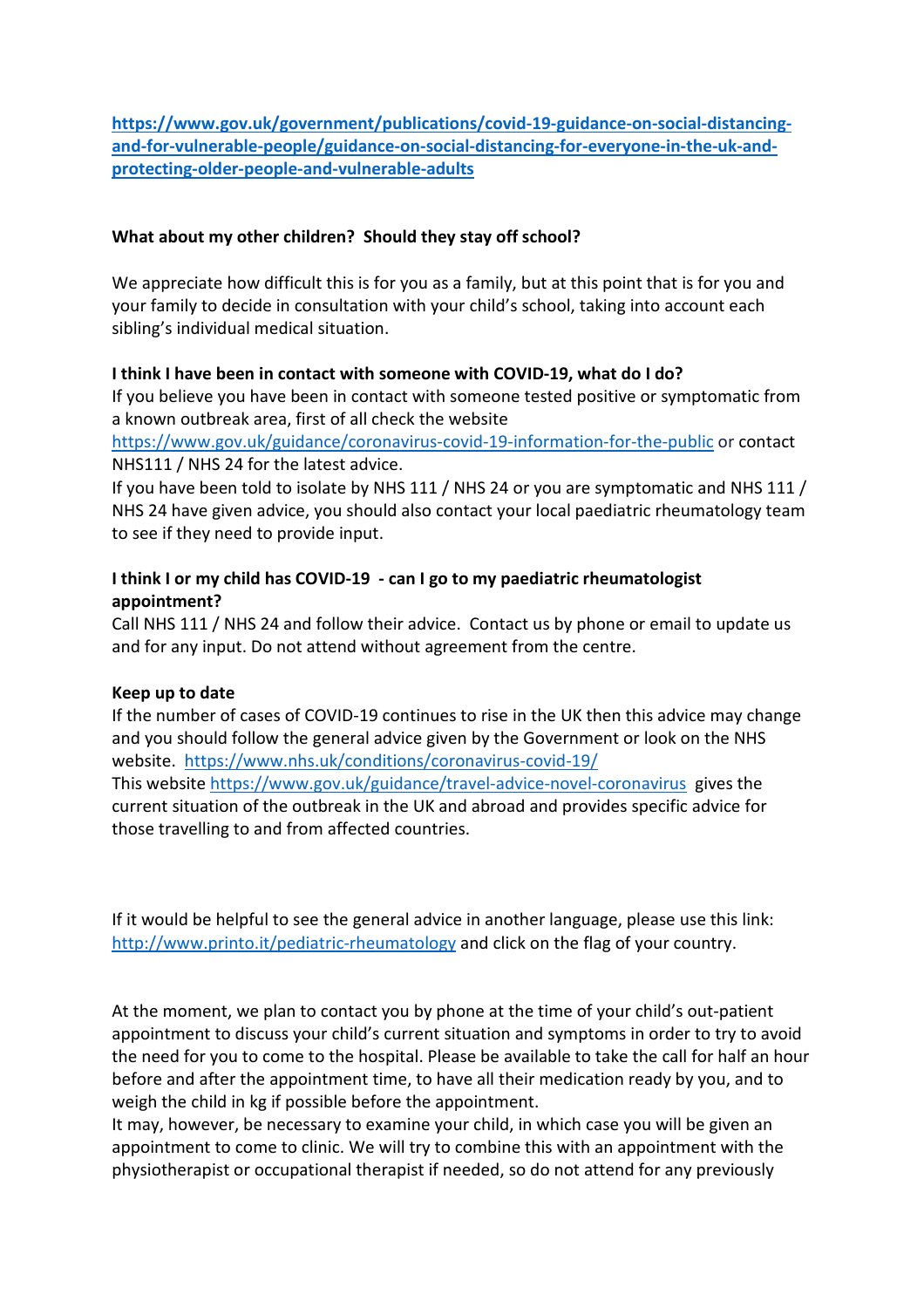https://www.gov.uk/government/publications/covid-19-guidance-on-social-distancingand-for-vulnerable-people/guidance-on-social-distancing-for-everyone-in-the-uk-andprotecting-older-people-and-vulnerable-adults

# What about my other children? Should they stay off school?

We appreciate how difficult this is for you as a family, but at this point that is for you and your family to decide in consultation with your child's school, taking into account each sibling's individual medical situation.

#### I think I have been in contact with someone with COVID-19, what do I do?

If you believe you have been in contact with someone tested positive or symptomatic from a known outbreak area, first of all check the website

https://www.gov.uk/guidance/coronavirus-covid-19-information-for-the-public or contact NHS111 / NHS 24 for the latest advice.

If you have been told to isolate by NHS 111 / NHS 24 or you are symptomatic and NHS 111 / NHS 24 have given advice, you should also contact your local paediatric rheumatology team to see if they need to provide input.

# I think I or my child has COVID-19 - can I go to my paediatric rheumatologist appointment?

Call NHS 111 / NHS 24 and follow their advice. Contact us by phone or email to update us and for any input. Do not attend without agreement from the centre.

#### Keep up to date

If the number of cases of COVID-19 continues to rise in the UK then this advice may change and you should follow the general advice given by the Government or look on the NHS website. https://www.nhs.uk/conditions/coronavirus-covid-19/ This website https://www.gov.uk/guidance/travel-advice-novel-coronavirus gives the current situation of the outbreak in the UK and abroad and provides specific advice for those travelling to and from affected countries.

If it would be helpful to see the general advice in another language, please use this link: http://www.printo.it/pediatric-rheumatology and click on the flag of your country.

At the moment, we plan to contact you by phone at the time of your child's out-patient appointment to discuss your child's current situation and symptoms in order to try to avoid the need for you to come to the hospital. Please be available to take the call for half an hour before and after the appointment time, to have all their medication ready by you, and to weigh the child in kg if possible before the appointment.

It may, however, be necessary to examine your child, in which case you will be given an appointment to come to clinic. We will try to combine this with an appointment with the physiotherapist or occupational therapist if needed, so do not attend for any previously